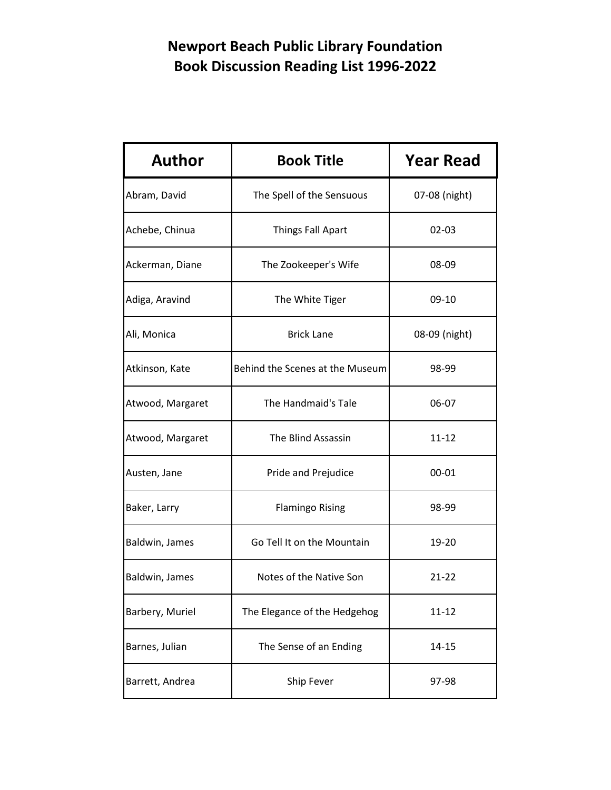| <b>Author</b>    | <b>Book Title</b>               | <b>Year Read</b> |
|------------------|---------------------------------|------------------|
| Abram, David     | The Spell of the Sensuous       | 07-08 (night)    |
| Achebe, Chinua   | <b>Things Fall Apart</b>        | $02 - 03$        |
| Ackerman, Diane  | The Zookeeper's Wife            | 08-09            |
| Adiga, Aravind   | The White Tiger                 | 09-10            |
| Ali, Monica      | <b>Brick Lane</b>               | 08-09 (night)    |
| Atkinson, Kate   | Behind the Scenes at the Museum | 98-99            |
| Atwood, Margaret | The Handmaid's Tale             | 06-07            |
| Atwood, Margaret | The Blind Assassin              | 11-12            |
| Austen, Jane     | Pride and Prejudice             | $00 - 01$        |
| Baker, Larry     | <b>Flamingo Rising</b>          | 98-99            |
| Baldwin, James   | Go Tell It on the Mountain      | 19-20            |
| Baldwin, James   | Notes of the Native Son         | $21 - 22$        |
| Barbery, Muriel  | The Elegance of the Hedgehog    | $11 - 12$        |
| Barnes, Julian   | The Sense of an Ending          | 14-15            |
| Barrett, Andrea  | Ship Fever                      | 97-98            |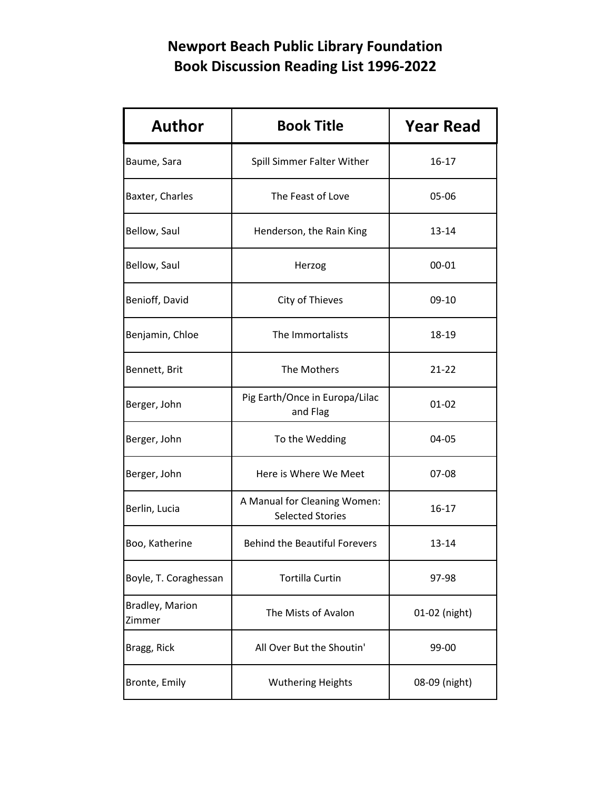| <b>Author</b>             | <b>Book Title</b>                                       | <b>Year Read</b> |
|---------------------------|---------------------------------------------------------|------------------|
| Baume, Sara               | Spill Simmer Falter Wither                              | $16 - 17$        |
| Baxter, Charles           | The Feast of Love                                       | 05-06            |
| Bellow, Saul              | Henderson, the Rain King                                | 13-14            |
| Bellow, Saul              | Herzog                                                  | 00-01            |
| Benioff, David            | City of Thieves                                         | $09-10$          |
| Benjamin, Chloe           | The Immortalists                                        | 18-19            |
| Bennett, Brit             | The Mothers                                             | $21 - 22$        |
| Berger, John              | Pig Earth/Once in Europa/Lilac<br>and Flag              | 01-02            |
| Berger, John              | To the Wedding                                          | 04-05            |
| Berger, John              | Here is Where We Meet                                   | 07-08            |
| Berlin, Lucia             | A Manual for Cleaning Women:<br><b>Selected Stories</b> | 16-17            |
| Boo, Katherine            | <b>Behind the Beautiful Forevers</b>                    | 13-14            |
| Boyle, T. Coraghessan     | <b>Tortilla Curtin</b>                                  | 97-98            |
| Bradley, Marion<br>Zimmer | The Mists of Avalon                                     | 01-02 (night)    |
| Bragg, Rick               | All Over But the Shoutin'                               | 99-00            |
| Bronte, Emily             | <b>Wuthering Heights</b>                                | 08-09 (night)    |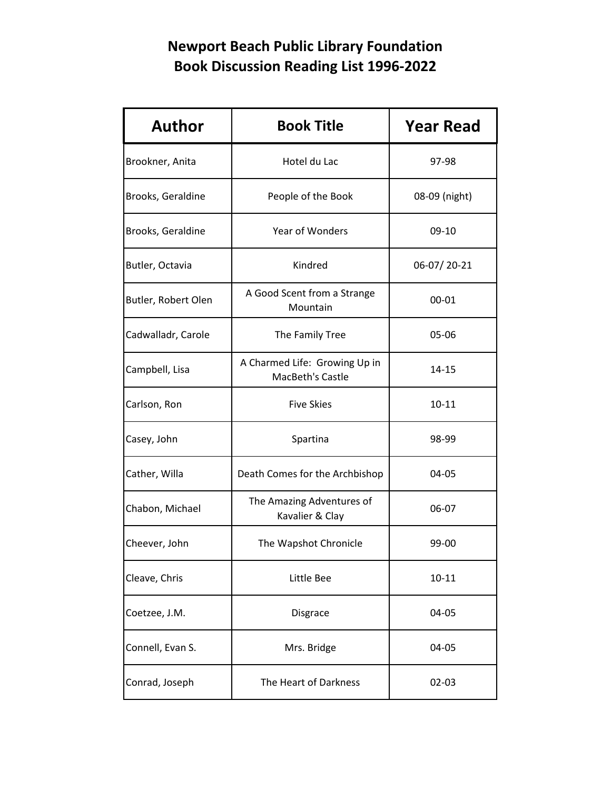| <b>Author</b>       | <b>Book Title</b>                                 | <b>Year Read</b> |
|---------------------|---------------------------------------------------|------------------|
| Brookner, Anita     | Hotel du Lac                                      | 97-98            |
| Brooks, Geraldine   | People of the Book                                | 08-09 (night)    |
| Brooks, Geraldine   | Year of Wonders                                   | 09-10            |
| Butler, Octavia     | Kindred                                           | 06-07/20-21      |
| Butler, Robert Olen | A Good Scent from a Strange<br>Mountain           | 00-01            |
| Cadwalladr, Carole  | The Family Tree                                   | 05-06            |
| Campbell, Lisa      | A Charmed Life: Growing Up in<br>MacBeth's Castle | 14-15            |
| Carlson, Ron        | <b>Five Skies</b>                                 | $10 - 11$        |
| Casey, John         | Spartina                                          | 98-99            |
| Cather, Willa       | Death Comes for the Archbishop                    | 04-05            |
| Chabon, Michael     | The Amazing Adventures of<br>Kavalier & Clay      | 06-07            |
| Cheever, John       | The Wapshot Chronicle                             | 99-00            |
| Cleave, Chris       | Little Bee                                        | $10 - 11$        |
| Coetzee, J.M.       | Disgrace                                          | 04-05            |
| Connell, Evan S.    | Mrs. Bridge                                       | 04-05            |
| Conrad, Joseph      | The Heart of Darkness                             | $02 - 03$        |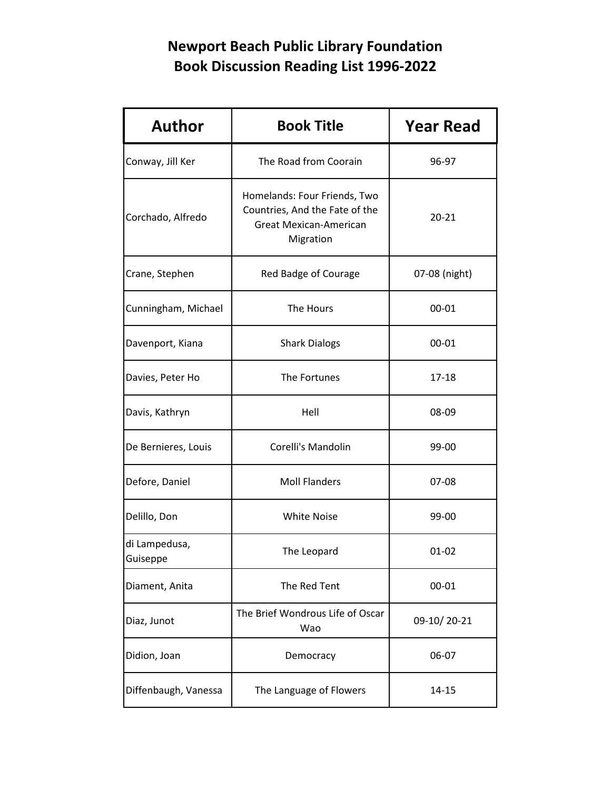| <b>Author</b>             | <b>Book Title</b>                                                                                     | <b>Year Read</b> |
|---------------------------|-------------------------------------------------------------------------------------------------------|------------------|
| Conway, Jill Ker          | The Road from Coorain                                                                                 | 96-97            |
| Corchado, Alfredo         | Homelands: Four Friends, Two<br>Countries, And the Fate of the<br>Great Mexican-American<br>Migration | $20 - 21$        |
| Crane, Stephen            | Red Badge of Courage                                                                                  | 07-08 (night)    |
| Cunningham, Michael       | The Hours                                                                                             | 00-01            |
| Davenport, Kiana          | <b>Shark Dialogs</b>                                                                                  | $00 - 01$        |
| Davies, Peter Ho          | The Fortunes                                                                                          | 17-18            |
| Davis, Kathryn            | Hell                                                                                                  | 08-09            |
| De Bernieres, Louis       | Corelli's Mandolin                                                                                    | 99-00            |
| Defore, Daniel            | <b>Moll Flanders</b>                                                                                  | 07-08            |
| Delillo, Don              | <b>White Noise</b>                                                                                    | 99-00            |
| di Lampedusa,<br>Guiseppe | The Leopard                                                                                           | $01 - 02$        |
| Diament, Anita            | The Red Tent                                                                                          | $00 - 01$        |
| Diaz, Junot               | The Brief Wondrous Life of Oscar<br>Wao                                                               | 09-10/20-21      |
| Didion, Joan              | Democracy                                                                                             | 06-07            |
| Diffenbaugh, Vanessa      | The Language of Flowers                                                                               | $14 - 15$        |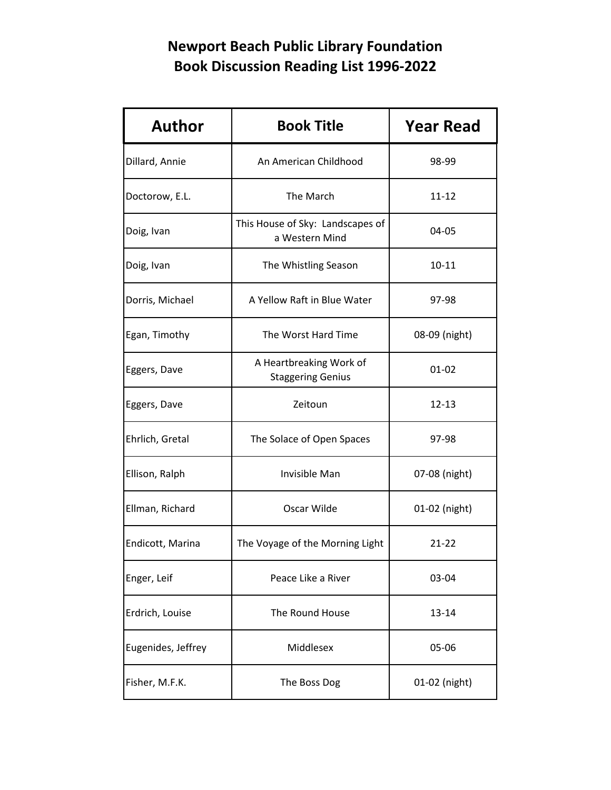| <b>Author</b>      | <b>Book Title</b>                                   | <b>Year Read</b> |
|--------------------|-----------------------------------------------------|------------------|
| Dillard, Annie     | An American Childhood                               | 98-99            |
| Doctorow, E.L.     | The March                                           | $11 - 12$        |
| Doig, Ivan         | This House of Sky: Landscapes of<br>a Western Mind  | 04-05            |
| Doig, Ivan         | The Whistling Season                                | $10 - 11$        |
| Dorris, Michael    | A Yellow Raft in Blue Water                         | 97-98            |
| Egan, Timothy      | The Worst Hard Time                                 | 08-09 (night)    |
| Eggers, Dave       | A Heartbreaking Work of<br><b>Staggering Genius</b> | $01 - 02$        |
| Eggers, Dave       | Zeitoun                                             | $12 - 13$        |
| Ehrlich, Gretal    | The Solace of Open Spaces                           | 97-98            |
| Ellison, Ralph     | Invisible Man                                       | 07-08 (night)    |
| Ellman, Richard    | Oscar Wilde                                         | 01-02 (night)    |
| Endicott, Marina   | The Voyage of the Morning Light                     | $21 - 22$        |
| Enger, Leif        | Peace Like a River                                  | 03-04            |
| Erdrich, Louise    | The Round House                                     | 13-14            |
| Eugenides, Jeffrey | Middlesex                                           | 05-06            |
| Fisher, M.F.K.     | The Boss Dog                                        | 01-02 (night)    |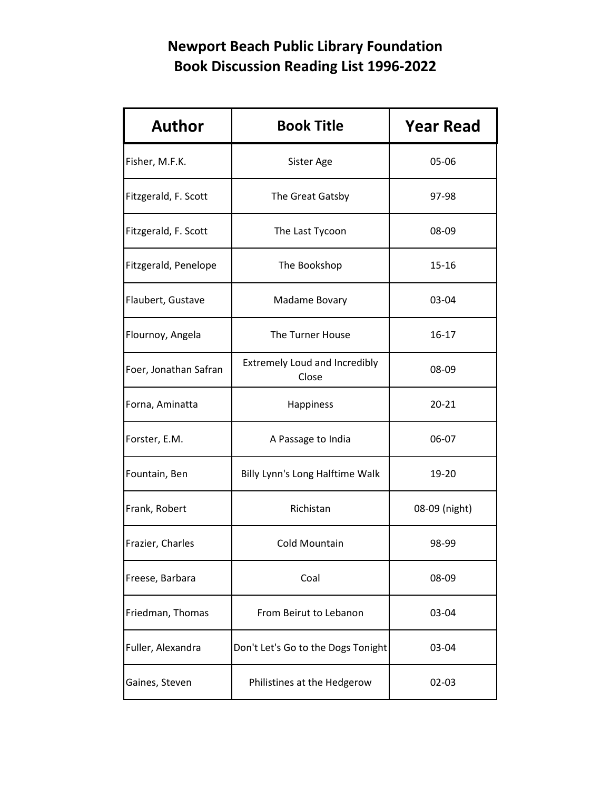| <b>Author</b>         | <b>Book Title</b>                             | <b>Year Read</b> |
|-----------------------|-----------------------------------------------|------------------|
| Fisher, M.F.K.        | Sister Age                                    | 05-06            |
| Fitzgerald, F. Scott  | The Great Gatsby                              | 97-98            |
| Fitzgerald, F. Scott  | The Last Tycoon                               | 08-09            |
| Fitzgerald, Penelope  | The Bookshop                                  | $15 - 16$        |
| Flaubert, Gustave     | Madame Bovary                                 | 03-04            |
| Flournoy, Angela      | The Turner House                              | 16-17            |
| Foer, Jonathan Safran | <b>Extremely Loud and Incredibly</b><br>Close | 08-09            |
| Forna, Aminatta       | Happiness                                     | $20 - 21$        |
| Forster, E.M.         | A Passage to India                            | 06-07            |
| Fountain, Ben         | Billy Lynn's Long Halftime Walk               | 19-20            |
| Frank, Robert         | Richistan                                     | 08-09 (night)    |
| Frazier, Charles      | <b>Cold Mountain</b>                          | 98-99            |
| Freese, Barbara       | Coal                                          | 08-09            |
| Friedman, Thomas      | From Beirut to Lebanon                        | 03-04            |
| Fuller, Alexandra     | Don't Let's Go to the Dogs Tonight            | 03-04            |
| Gaines, Steven        | Philistines at the Hedgerow                   | $02 - 03$        |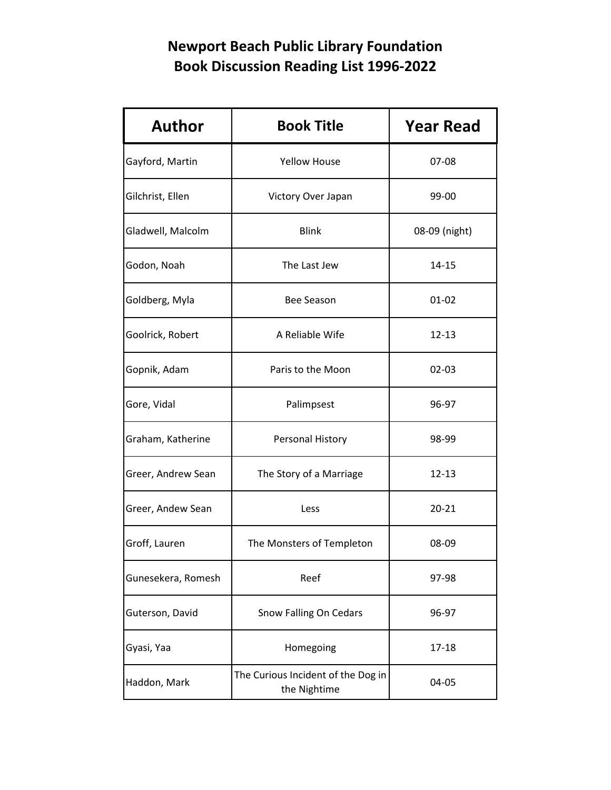| <b>Author</b>      | <b>Book Title</b>                                  | <b>Year Read</b> |
|--------------------|----------------------------------------------------|------------------|
| Gayford, Martin    | <b>Yellow House</b>                                | 07-08            |
| Gilchrist, Ellen   | Victory Over Japan                                 | 99-00            |
| Gladwell, Malcolm  | <b>Blink</b>                                       | 08-09 (night)    |
| Godon, Noah        | The Last Jew                                       | 14-15            |
| Goldberg, Myla     | <b>Bee Season</b>                                  | $01 - 02$        |
| Goolrick, Robert   | A Reliable Wife                                    | $12 - 13$        |
| Gopnik, Adam       | Paris to the Moon                                  | $02 - 03$        |
| Gore, Vidal        | Palimpsest                                         | 96-97            |
| Graham, Katherine  | Personal History                                   | 98-99            |
| Greer, Andrew Sean | The Story of a Marriage                            | 12-13            |
| Greer, Andew Sean  | Less                                               | $20 - 21$        |
| Groff, Lauren      | The Monsters of Templeton                          | 08-09            |
| Gunesekera, Romesh | Reef                                               | 97-98            |
| Guterson, David    | Snow Falling On Cedars                             | 96-97            |
| Gyasi, Yaa         | Homegoing                                          | $17 - 18$        |
| Haddon, Mark       | The Curious Incident of the Dog in<br>the Nightime | 04-05            |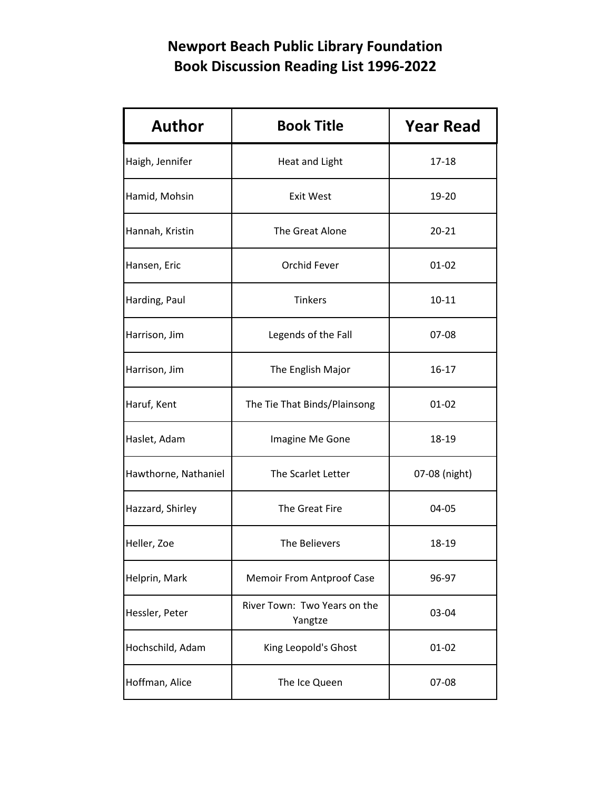| <b>Author</b>        | <b>Book Title</b>                       | <b>Year Read</b> |
|----------------------|-----------------------------------------|------------------|
| Haigh, Jennifer      | Heat and Light                          | $17 - 18$        |
| Hamid, Mohsin        | <b>Exit West</b>                        | 19-20            |
| Hannah, Kristin      | The Great Alone                         | $20 - 21$        |
| Hansen, Eric         | Orchid Fever                            | $01 - 02$        |
| Harding, Paul        | <b>Tinkers</b>                          | $10 - 11$        |
| Harrison, Jim        | Legends of the Fall                     | 07-08            |
| Harrison, Jim        | The English Major                       | 16-17            |
| Haruf, Kent          | The Tie That Binds/Plainsong            | 01-02            |
| Haslet, Adam         | Imagine Me Gone                         | 18-19            |
| Hawthorne, Nathaniel | The Scarlet Letter                      | 07-08 (night)    |
| Hazzard, Shirley     | The Great Fire                          | 04-05            |
| Heller, Zoe          | The Believers                           | 18-19            |
| Helprin, Mark        | <b>Memoir From Antproof Case</b>        | 96-97            |
| Hessler, Peter       | River Town: Two Years on the<br>Yangtze | 03-04            |
| Hochschild, Adam     | King Leopold's Ghost                    | $01 - 02$        |
| Hoffman, Alice       | The Ice Queen                           | 07-08            |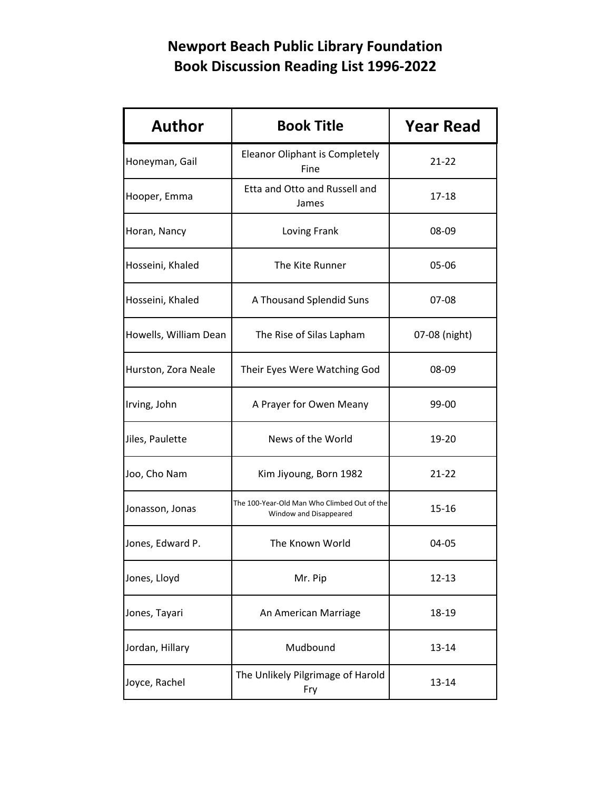| <b>Author</b>         | <b>Book Title</b>                                                     | <b>Year Read</b> |
|-----------------------|-----------------------------------------------------------------------|------------------|
| Honeyman, Gail        | Eleanor Oliphant is Completely<br>Fine                                | $21 - 22$        |
| Hooper, Emma          | Etta and Otto and Russell and<br>James                                | 17-18            |
| Horan, Nancy          | Loving Frank                                                          | 08-09            |
| Hosseini, Khaled      | The Kite Runner                                                       | 05-06            |
| Hosseini, Khaled      | A Thousand Splendid Suns                                              | 07-08            |
| Howells, William Dean | The Rise of Silas Lapham                                              | 07-08 (night)    |
| Hurston, Zora Neale   | Their Eyes Were Watching God                                          | 08-09            |
| Irving, John          | A Prayer for Owen Meany                                               | 99-00            |
| Jiles, Paulette       | News of the World                                                     | 19-20            |
| Joo, Cho Nam          | Kim Jiyoung, Born 1982                                                | $21 - 22$        |
| Jonasson, Jonas       | The 100-Year-Old Man Who Climbed Out of the<br>Window and Disappeared | $15 - 16$        |
| Jones, Edward P.      | The Known World                                                       | 04-05            |
| Jones, Lloyd          | Mr. Pip                                                               | $12 - 13$        |
| Jones, Tayari         | An American Marriage                                                  | 18-19            |
| Jordan, Hillary       | Mudbound                                                              | 13-14            |
| Joyce, Rachel         | The Unlikely Pilgrimage of Harold<br>Fry                              | $13 - 14$        |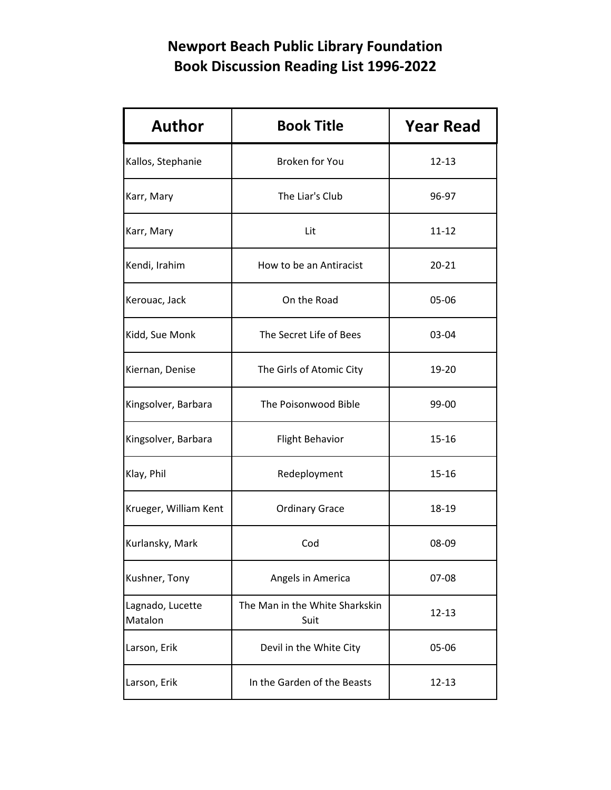| <b>Author</b>               | <b>Book Title</b>                      | <b>Year Read</b> |
|-----------------------------|----------------------------------------|------------------|
| Kallos, Stephanie           | <b>Broken for You</b>                  | $12 - 13$        |
| Karr, Mary                  | The Liar's Club                        | 96-97            |
| Karr, Mary                  | Lit                                    | $11 - 12$        |
| Kendi, Irahim               | How to be an Antiracist                | $20 - 21$        |
| Kerouac, Jack               | On the Road                            | 05-06            |
| Kidd, Sue Monk              | The Secret Life of Bees                | 03-04            |
| Kiernan, Denise             | The Girls of Atomic City               | 19-20            |
| Kingsolver, Barbara         | The Poisonwood Bible                   | 99-00            |
| Kingsolver, Barbara         | <b>Flight Behavior</b>                 | 15-16            |
| Klay, Phil                  | Redeployment                           | 15-16            |
| Krueger, William Kent       | <b>Ordinary Grace</b>                  | 18-19            |
| Kurlansky, Mark             | Cod                                    | 08-09            |
| Kushner, Tony               | Angels in America                      | 07-08            |
| Lagnado, Lucette<br>Matalon | The Man in the White Sharkskin<br>Suit | $12 - 13$        |
| Larson, Erik                | Devil in the White City                | 05-06            |
| Larson, Erik                | In the Garden of the Beasts            | $12 - 13$        |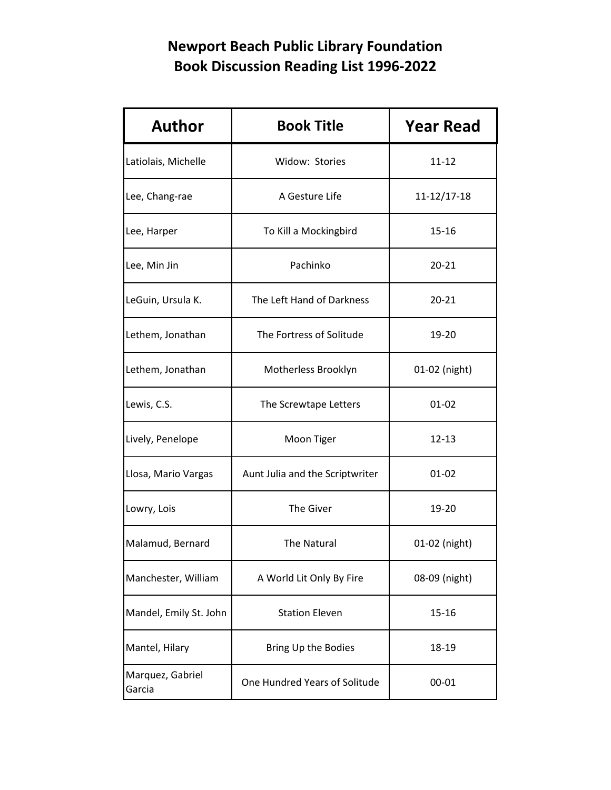| <b>Author</b>              | <b>Book Title</b>               | <b>Year Read</b>  |
|----------------------------|---------------------------------|-------------------|
| Latiolais, Michelle        | Widow: Stories                  | $11 - 12$         |
| Lee, Chang-rae             | A Gesture Life                  | $11 - 12/17 - 18$ |
| Lee, Harper                | To Kill a Mockingbird           | $15 - 16$         |
| Lee, Min Jin               | Pachinko                        | $20 - 21$         |
| LeGuin, Ursula K.          | The Left Hand of Darkness       | $20 - 21$         |
| Lethem, Jonathan           | The Fortress of Solitude        | 19-20             |
| Lethem, Jonathan           | Motherless Brooklyn             | 01-02 (night)     |
| Lewis, C.S.                | The Screwtape Letters           | $01 - 02$         |
| Lively, Penelope           | Moon Tiger                      | 12-13             |
| Llosa, Mario Vargas        | Aunt Julia and the Scriptwriter | $01 - 02$         |
| Lowry, Lois                | The Giver                       | 19-20             |
| Malamud, Bernard           | The Natural                     | 01-02 (night)     |
| Manchester, William        | A World Lit Only By Fire        | 08-09 (night)     |
| Mandel, Emily St. John     | <b>Station Eleven</b>           | 15-16             |
| Mantel, Hilary             | Bring Up the Bodies             | 18-19             |
| Marquez, Gabriel<br>Garcia | One Hundred Years of Solitude   | 00-01             |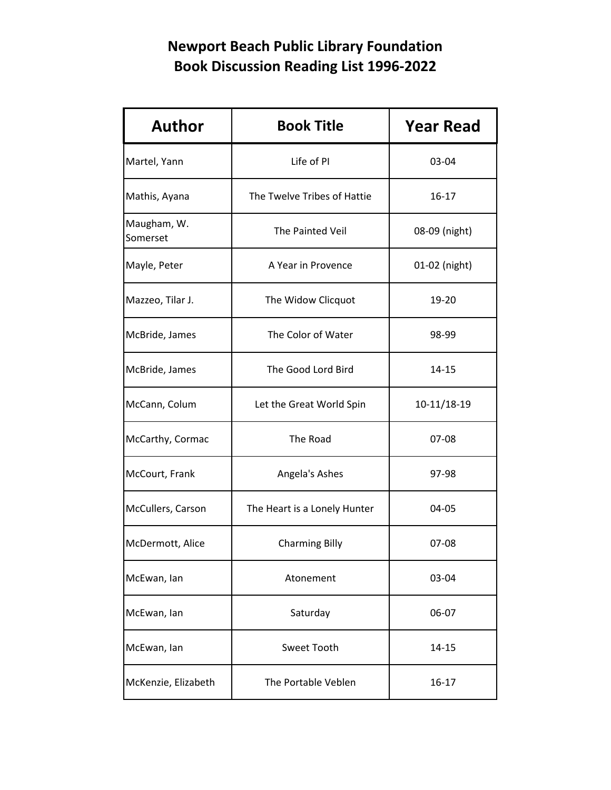| <b>Author</b>           | <b>Book Title</b>            | <b>Year Read</b> |
|-------------------------|------------------------------|------------------|
| Martel, Yann            | Life of PI                   | 03-04            |
| Mathis, Ayana           | The Twelve Tribes of Hattie  | $16 - 17$        |
| Maugham, W.<br>Somerset | The Painted Veil             | 08-09 (night)    |
| Mayle, Peter            | A Year in Provence           | 01-02 (night)    |
| Mazzeo, Tilar J.        | The Widow Clicquot           | 19-20            |
| McBride, James          | The Color of Water           | 98-99            |
| McBride, James          | The Good Lord Bird           | 14-15            |
| McCann, Colum           | Let the Great World Spin     | 10-11/18-19      |
| McCarthy, Cormac        | The Road                     | 07-08            |
| McCourt, Frank          | Angela's Ashes               | 97-98            |
| McCullers, Carson       | The Heart is a Lonely Hunter | 04-05            |
| McDermott, Alice        | <b>Charming Billy</b>        | 07-08            |
| McEwan, lan             | Atonement                    | 03-04            |
| McEwan, lan             | Saturday                     | 06-07            |
| McEwan, lan             | Sweet Tooth                  | 14-15            |
| McKenzie, Elizabeth     | The Portable Veblen          | $16 - 17$        |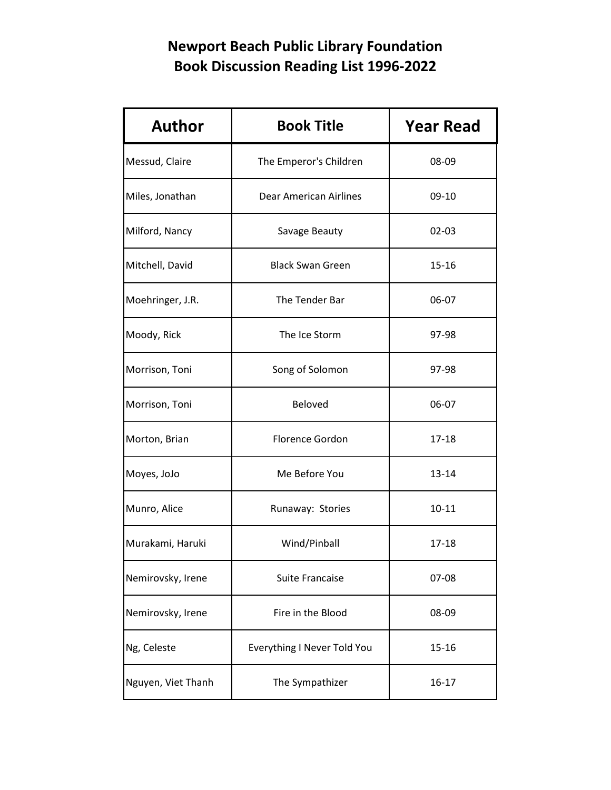| <b>Author</b>      | <b>Book Title</b>             | <b>Year Read</b> |
|--------------------|-------------------------------|------------------|
| Messud, Claire     | The Emperor's Children        | 08-09            |
| Miles, Jonathan    | <b>Dear American Airlines</b> | $09-10$          |
| Milford, Nancy     | Savage Beauty                 | $02 - 03$        |
| Mitchell, David    | <b>Black Swan Green</b>       | $15 - 16$        |
| Moehringer, J.R.   | The Tender Bar                | 06-07            |
| Moody, Rick        | The Ice Storm                 | 97-98            |
| Morrison, Toni     | Song of Solomon               | 97-98            |
| Morrison, Toni     | Beloved                       | 06-07            |
| Morton, Brian      | <b>Florence Gordon</b>        | 17-18            |
| Moyes, JoJo        | Me Before You                 | 13-14            |
| Munro, Alice       | Runaway: Stories              | $10 - 11$        |
| Murakami, Haruki   | Wind/Pinball                  | 17-18            |
| Nemirovsky, Irene  | <b>Suite Francaise</b>        | 07-08            |
| Nemirovsky, Irene  | Fire in the Blood             | 08-09            |
| Ng, Celeste        | Everything I Never Told You   | 15-16            |
| Nguyen, Viet Thanh | The Sympathizer               | $16 - 17$        |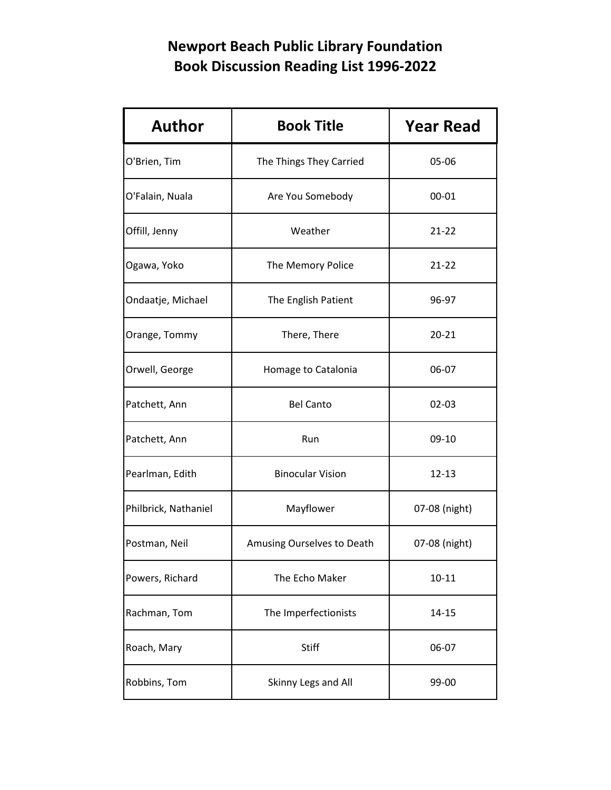| <b>Author</b>        | <b>Book Title</b>          | <b>Year Read</b> |
|----------------------|----------------------------|------------------|
| O'Brien, Tim         | The Things They Carried    | 05-06            |
| O'Falain, Nuala      | Are You Somebody           | 00-01            |
| Offill, Jenny        | Weather                    | $21 - 22$        |
| Ogawa, Yoko          | The Memory Police          | $21 - 22$        |
| Ondaatje, Michael    | The English Patient        | 96-97            |
| Orange, Tommy        | There, There               | $20 - 21$        |
| Orwell, George       | Homage to Catalonia        | 06-07            |
| Patchett, Ann        | <b>Bel Canto</b>           | $02 - 03$        |
| Patchett, Ann        | Run                        | 09-10            |
| Pearlman, Edith      | <b>Binocular Vision</b>    | 12-13            |
| Philbrick, Nathaniel | Mayflower                  | 07-08 (night)    |
| Postman, Neil        | Amusing Ourselves to Death | 07-08 (night)    |
| Powers, Richard      | The Echo Maker             | $10 - 11$        |
| Rachman, Tom         | The Imperfectionists       | $14 - 15$        |
| Roach, Mary          | <b>Stiff</b>               | 06-07            |
| Robbins, Tom         | Skinny Legs and All        | 99-00            |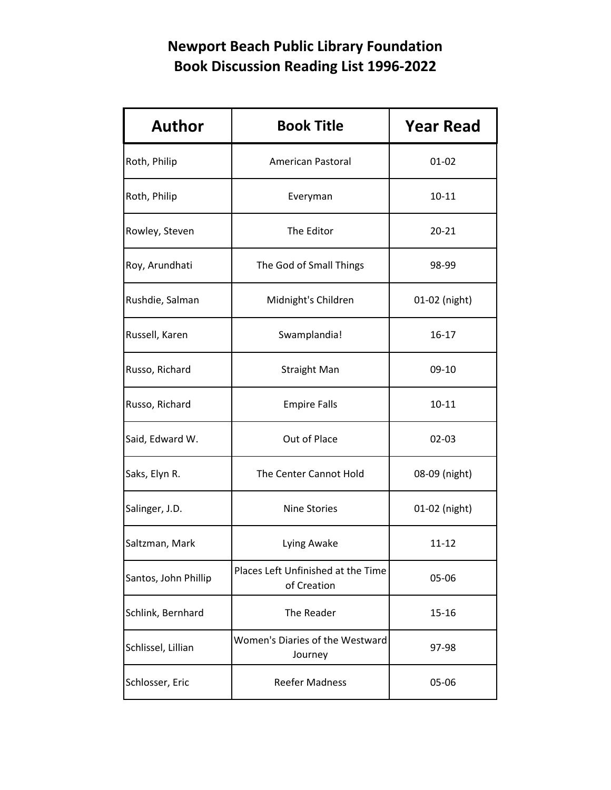| <b>Author</b>        | <b>Book Title</b>                                 | <b>Year Read</b> |
|----------------------|---------------------------------------------------|------------------|
| Roth, Philip         | American Pastoral                                 | $01 - 02$        |
| Roth, Philip         | Everyman                                          | 10-11            |
| Rowley, Steven       | The Editor                                        | $20 - 21$        |
| Roy, Arundhati       | The God of Small Things                           | 98-99            |
| Rushdie, Salman      | Midnight's Children                               | 01-02 (night)    |
| Russell, Karen       | Swamplandia!                                      | $16 - 17$        |
| Russo, Richard       | <b>Straight Man</b>                               | 09-10            |
| Russo, Richard       | <b>Empire Falls</b>                               | $10 - 11$        |
| Said, Edward W.      | Out of Place                                      | $02 - 03$        |
| Saks, Elyn R.        | The Center Cannot Hold                            | 08-09 (night)    |
| Salinger, J.D.       | <b>Nine Stories</b>                               | 01-02 (night)    |
| Saltzman, Mark       | Lying Awake                                       | $11 - 12$        |
| Santos, John Phillip | Places Left Unfinished at the Time<br>of Creation | 05-06            |
| Schlink, Bernhard    | The Reader                                        | 15-16            |
| Schlissel, Lillian   | Women's Diaries of the Westward<br>Journey        | 97-98            |
| Schlosser, Eric      | <b>Reefer Madness</b>                             | 05-06            |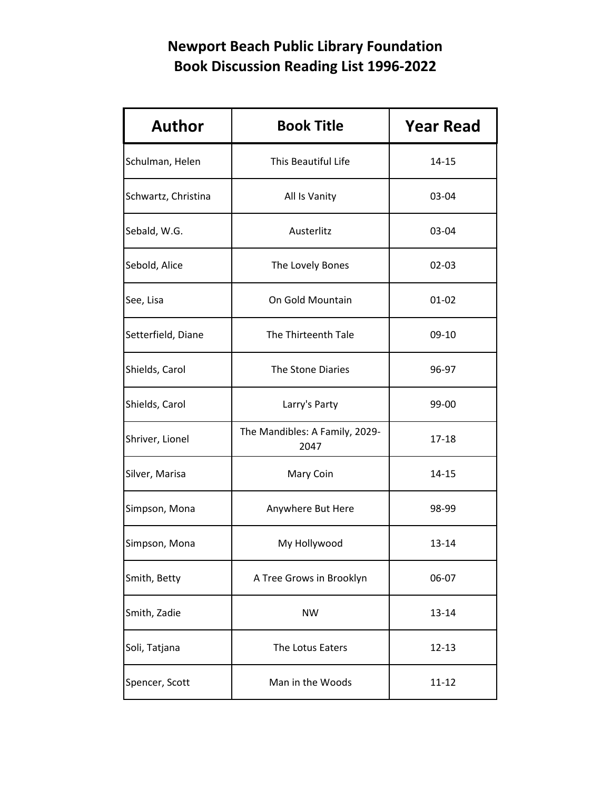| <b>Author</b>       | <b>Book Title</b>                      | <b>Year Read</b> |
|---------------------|----------------------------------------|------------------|
| Schulman, Helen     | This Beautiful Life                    | $14 - 15$        |
| Schwartz, Christina | All Is Vanity                          | 03-04            |
| Sebald, W.G.        | Austerlitz                             | 03-04            |
| Sebold, Alice       | The Lovely Bones                       | $02 - 03$        |
| See, Lisa           | On Gold Mountain                       | $01 - 02$        |
| Setterfield, Diane  | The Thirteenth Tale                    | $09-10$          |
| Shields, Carol      | The Stone Diaries                      | 96-97            |
| Shields, Carol      | Larry's Party                          | 99-00            |
| Shriver, Lionel     | The Mandibles: A Family, 2029-<br>2047 | $17 - 18$        |
| Silver, Marisa      | Mary Coin                              | $14 - 15$        |
| Simpson, Mona       | Anywhere But Here                      | 98-99            |
| Simpson, Mona       | My Hollywood                           | 13-14            |
| Smith, Betty        | A Tree Grows in Brooklyn               | 06-07            |
| Smith, Zadie        | <b>NW</b>                              | 13-14            |
| Soli, Tatjana       | The Lotus Eaters                       | $12 - 13$        |
| Spencer, Scott      | Man in the Woods                       | $11 - 12$        |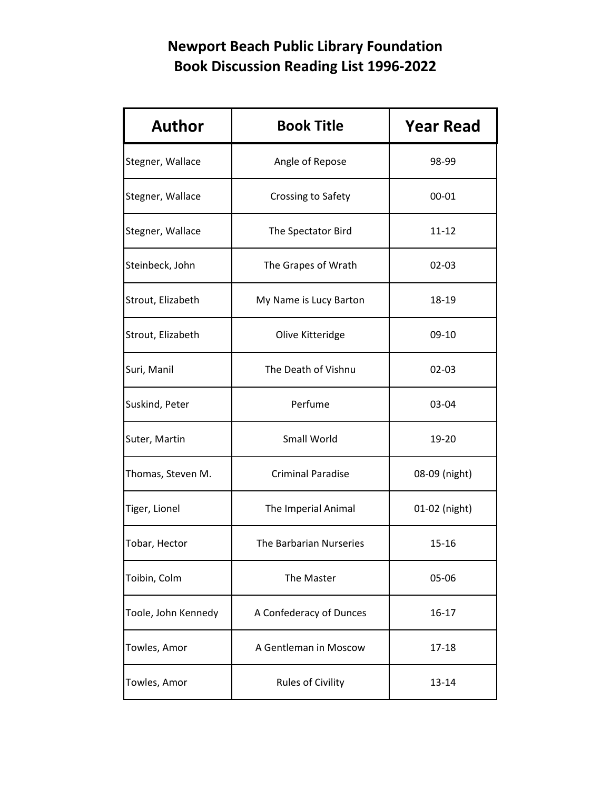| <b>Author</b>       | <b>Book Title</b>        | <b>Year Read</b> |
|---------------------|--------------------------|------------------|
| Stegner, Wallace    | Angle of Repose          | 98-99            |
| Stegner, Wallace    | Crossing to Safety       | 00-01            |
| Stegner, Wallace    | The Spectator Bird       | $11 - 12$        |
| Steinbeck, John     | The Grapes of Wrath      | $02 - 03$        |
| Strout, Elizabeth   | My Name is Lucy Barton   | 18-19            |
| Strout, Elizabeth   | Olive Kitteridge         | 09-10            |
| Suri, Manil         | The Death of Vishnu      | $02 - 03$        |
| Suskind, Peter      | Perfume                  | 03-04            |
| Suter, Martin       | Small World              | 19-20            |
| Thomas, Steven M.   | <b>Criminal Paradise</b> | 08-09 (night)    |
| Tiger, Lionel       | The Imperial Animal      | 01-02 (night)    |
| Tobar, Hector       | The Barbarian Nurseries  | $15 - 16$        |
| Toibin, Colm        | The Master               | 05-06            |
| Toole, John Kennedy | A Confederacy of Dunces  | 16-17            |
| Towles, Amor        | A Gentleman in Moscow    | 17-18            |
| Towles, Amor        | <b>Rules of Civility</b> | 13-14            |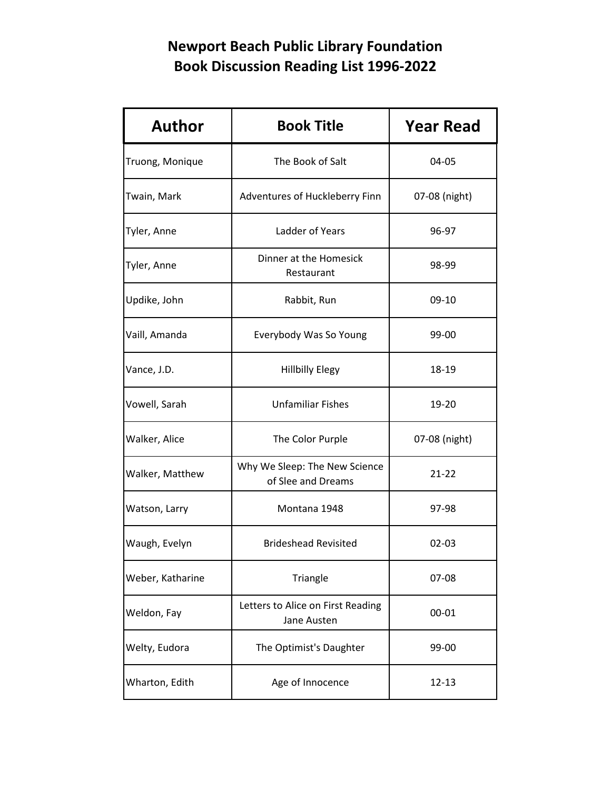| <b>Author</b>    | <b>Book Title</b>                                   | <b>Year Read</b> |
|------------------|-----------------------------------------------------|------------------|
| Truong, Monique  | The Book of Salt                                    | 04-05            |
| Twain, Mark      | Adventures of Huckleberry Finn                      | 07-08 (night)    |
| Tyler, Anne      | Ladder of Years                                     | 96-97            |
| Tyler, Anne      | Dinner at the Homesick<br>Restaurant                | 98-99            |
| Updike, John     | Rabbit, Run                                         | 09-10            |
| Vaill, Amanda    | Everybody Was So Young                              | 99-00            |
| Vance, J.D.      | <b>Hillbilly Elegy</b>                              | 18-19            |
| Vowell, Sarah    | <b>Unfamiliar Fishes</b>                            | 19-20            |
| Walker, Alice    | The Color Purple                                    | 07-08 (night)    |
| Walker, Matthew  | Why We Sleep: The New Science<br>of Slee and Dreams | $21 - 22$        |
| Watson, Larry    | Montana 1948                                        | 97-98            |
| Waugh, Evelyn    | <b>Brideshead Revisited</b>                         | $02 - 03$        |
| Weber, Katharine | Triangle                                            | 07-08            |
| Weldon, Fay      | Letters to Alice on First Reading<br>Jane Austen    | 00-01            |
| Welty, Eudora    | The Optimist's Daughter                             | 99-00            |
| Wharton, Edith   | Age of Innocence                                    | $12 - 13$        |